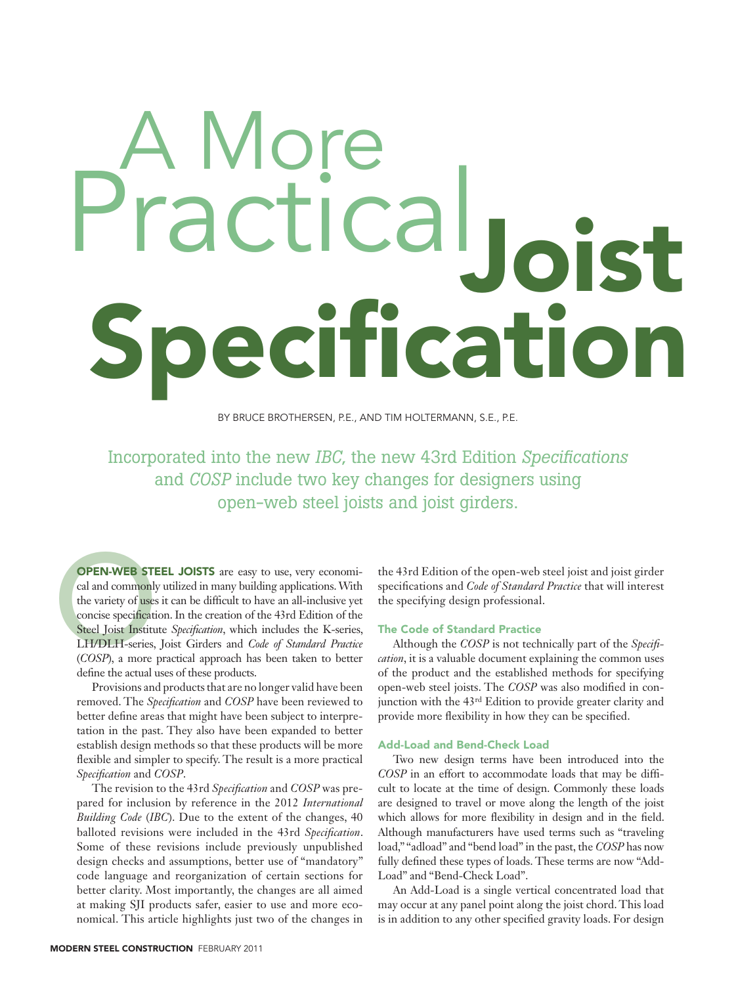# $O<sub>i</sub>$ ecification Practica

By Bruce Brothersen, P.E., and Tim Holtermann, S.E., P.E.

Incorporated into the new *IBC*, the new 43rd Edition *Specifications* and *COSP* include two key changes for designers using open-web steel joists and joist girders.

**OPEN-WEB STE**<br>cal and commonly<br>the variety of uses<br>concise specificati<br>Steel Joist Institute LH/DLH-series,<br>(*COSP*), a more **OPEN-WEB STEEL JOISTS** are easy to use, very economical and commonly utilized in many building applications. With the variety of uses it can be difficult to have an all-inclusive yet concise specification. In the creation of the 43rd Edition of the Steel Joist Institute *Specification*, which includes the K-series, LH/DLH-series, Joist Girders and *Code of Standard Practice*  (*COSP*), a more practical approach has been taken to better define the actual uses of these products.

Provisions and products that are no longer valid have been removed. The *Specification* and *COSP* have been reviewed to better define areas that might have been subject to interpretation in the past. They also have been expanded to better establish design methods so that these products will be more flexible and simpler to specify. The result is a more practical *Specification* and *COSP*.

The revision to the 43rd *Specification* and *COSP* was prepared for inclusion by reference in the 2012 *International Building Code* (*IBC*). Due to the extent of the changes, 40 balloted revisions were included in the 43rd *Specification*. Some of these revisions include previously unpublished design checks and assumptions, better use of "mandatory" code language and reorganization of certain sections for better clarity. Most importantly, the changes are all aimed at making SJI products safer, easier to use and more economical. This article highlights just two of the changes in

the 43rd Edition of the open-web steel joist and joist girder specifications and *Code of Standard Practice* that will interest the specifying design professional.

# The Code of Standard Practice

Although the *COSP* is not technically part of the *Specification*, it is a valuable document explaining the common uses of the product and the established methods for specifying open-web steel joists. The *COSP* was also modified in conjunction with the 43rd Edition to provide greater clarity and provide more flexibility in how they can be specified.

## Add-Load and Bend-Check Load

Two new design terms have been introduced into the *COSP* in an effort to accommodate loads that may be difficult to locate at the time of design. Commonly these loads are designed to travel or move along the length of the joist which allows for more flexibility in design and in the field. Although manufacturers have used terms such as "traveling load," "adload" and "bend load" in the past, the *COSP* has now fully defined these types of loads. These terms are now "Add-Load" and "Bend-Check Load".

An Add-Load is a single vertical concentrated load that may occur at any panel point along the joist chord. This load is in addition to any other specified gravity loads. For design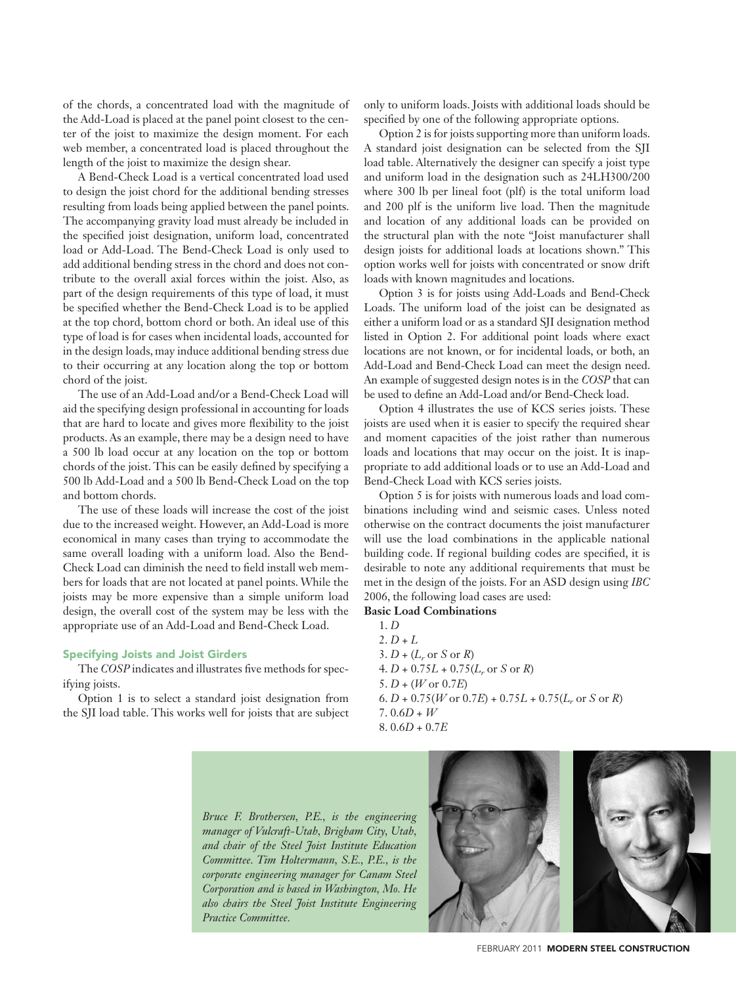of the chords, a concentrated load with the magnitude of the Add-Load is placed at the panel point closest to the center of the joist to maximize the design moment. For each web member, a concentrated load is placed throughout the length of the joist to maximize the design shear.

A Bend-Check Load is a vertical concentrated load used to design the joist chord for the additional bending stresses resulting from loads being applied between the panel points. The accompanying gravity load must already be included in the specified joist designation, uniform load, concentrated load or Add-Load. The Bend-Check Load is only used to add additional bending stress in the chord and does not contribute to the overall axial forces within the joist. Also, as part of the design requirements of this type of load, it must be specified whether the Bend-Check Load is to be applied at the top chord, bottom chord or both. An ideal use of this type of load is for cases when incidental loads, accounted for in the design loads, may induce additional bending stress due to their occurring at any location along the top or bottom chord of the joist.

The use of an Add-Load and/or a Bend-Check Load will aid the specifying design professional in accounting for loads that are hard to locate and gives more flexibility to the joist products. As an example, there may be a design need to have a 500 lb load occur at any location on the top or bottom chords of the joist. This can be easily defined by specifying a 500 lb Add-Load and a 500 lb Bend-Check Load on the top and bottom chords.

The use of these loads will increase the cost of the joist due to the increased weight. However, an Add-Load is more economical in many cases than trying to accommodate the same overall loading with a uniform load. Also the Bend-Check Load can diminish the need to field install web members for loads that are not located at panel points. While the joists may be more expensive than a simple uniform load design, the overall cost of the system may be less with the appropriate use of an Add-Load and Bend-Check Load.

# Specifying Joists and Joist Girders

The *COSP* indicates and illustrates five methods for specifying joists.

Option 1 is to select a standard joist designation from the SJI load table. This works well for joists that are subject only to uniform loads. Joists with additional loads should be specified by one of the following appropriate options.

Option 2 is for joists supporting more than uniform loads. A standard joist designation can be selected from the SJI load table. Alternatively the designer can specify a joist type and uniform load in the designation such as 24LH300/200 where 300 lb per lineal foot (plf) is the total uniform load and 200 plf is the uniform live load. Then the magnitude and location of any additional loads can be provided on the structural plan with the note "Joist manufacturer shall design joists for additional loads at locations shown." This option works well for joists with concentrated or snow drift loads with known magnitudes and locations.

Option 3 is for joists using Add-Loads and Bend-Check Loads. The uniform load of the joist can be designated as either a uniform load or as a standard SJI designation method listed in Option 2. For additional point loads where exact locations are not known, or for incidental loads, or both, an Add-Load and Bend-Check Load can meet the design need. An example of suggested design notes is in the *COSP* that can be used to define an Add-Load and/or Bend-Check load.

Option 4 illustrates the use of KCS series joists. These joists are used when it is easier to specify the required shear and moment capacities of the joist rather than numerous loads and locations that may occur on the joist. It is inappropriate to add additional loads or to use an Add-Load and Bend-Check Load with KCS series joists.

Option 5 is for joists with numerous loads and load combinations including wind and seismic cases. Unless noted otherwise on the contract documents the joist manufacturer will use the load combinations in the applicable national building code. If regional building codes are specified, it is desirable to note any additional requirements that must be met in the design of the joists. For an ASD design using *IBC*  2006, the following load cases are used:

# **Basic Load Combinations**

1. *D*  $2. D + L$  $3. D + (L_r \text{ or } S \text{ or } R)$ 4. *D* + 0.75*L* + 0.75(*Lr* or *S* or *R*)  $5. D + (W \text{ or } 0.7E)$  $6. D + 0.75(W$  or  $0.7E$ ) +  $0.75L + 0.75(L_r$  or *S* or *R*)  $7.0.6D + W$ 8. 0.6*D* + 0.7*E*

*Bruce F. Brothersen, P.E., is the engineering manager of Vulcraft-Utah, Brigham City, Utah, and chair of the Steel Joist Institute Education Committee. Tim Holtermann, S.E., P.E., is the corporate engineering manager for Canam Steel Corporation and is based in Washington, Mo. He also chairs the Steel Joist Institute Engineering Practice Committee.*



february 2011MODERN STEEL CONSTRUCTION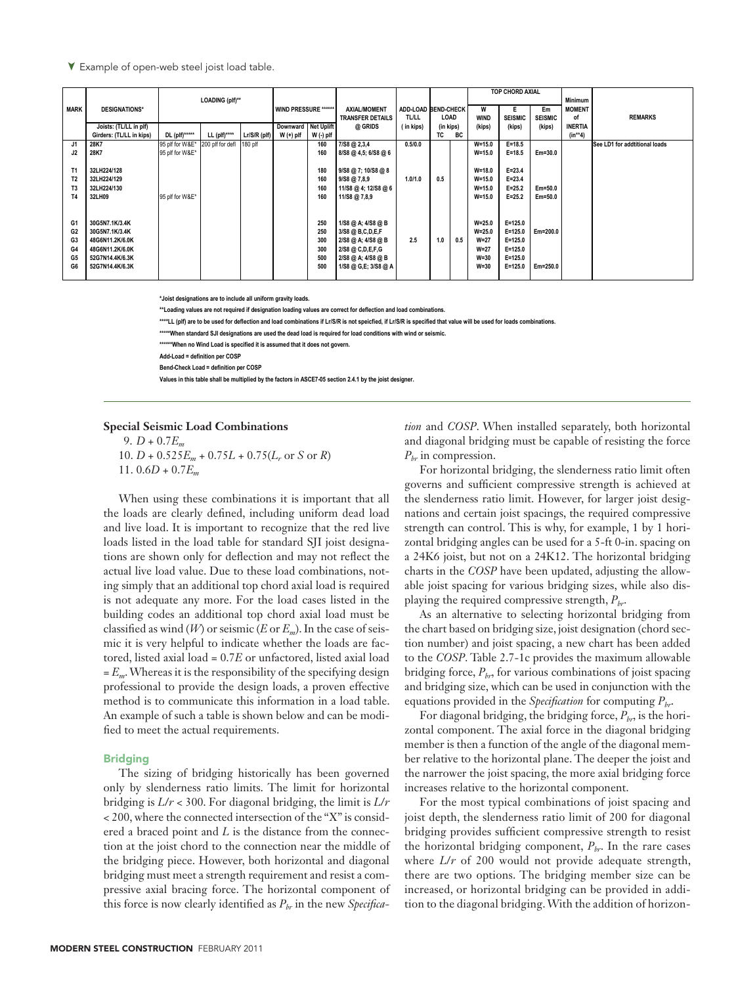<sup>▼</sup> Example of open-web steel joist load table.

| <b>MARK</b>    | <b>DESIGNATIONS*</b>     | LOADING (plf)** |                  |                | WIND PRESSURE ****** |           | <b>AXIAL/MOMENT</b>     |              | ADD-LOAD BEND-CHECK |     | TOP CHORD AXIAL<br>W<br>Em |                |                | <b>Minimum</b><br><b>MOMENT</b> |                               |
|----------------|--------------------------|-----------------|------------------|----------------|----------------------|-----------|-------------------------|--------------|---------------------|-----|----------------------------|----------------|----------------|---------------------------------|-------------------------------|
|                |                          |                 |                  |                |                      |           | <b>TRANSFER DETAILS</b> | <b>TL/LL</b> | LOAD                |     | <b>WIND</b>                | <b>SEISMIC</b> | <b>SEISMIC</b> | 0f                              | <b>REMARKS</b>                |
|                | Joists: (TL/LL in plf)   |                 |                  |                | Downward Net Uplift  |           | @ GRIDS                 | in kips)     | (in kips)           |     | (kips)                     | (kips)         | (kips)         | <b>INERTIA</b>                  |                               |
|                | Girders: (TL/LL in kips) | DL (plf)*****   | LL (plf)****     | $Lr/S/R$ (plf) | $W (+)$ plf          | W (-) plf |                         |              | TC                  | BC  |                            |                |                | $(in***4)$                      |                               |
| J1             | 28K7                     | 95 plf for W&E* | 200 plf for defl | 180 plf        |                      | 160       | 7/S8 @ 2,3,4            | 0.5/0.0      |                     |     | $W = 15.0$                 | $E = 18.5$     |                |                                 | See LD1 for addtitional loads |
| J2             | 28K7                     | 95 plf for W&E* |                  |                |                      | 160       | 8/S8 @ 4,5; 6/S8 @ 6    |              |                     |     | $W = 15.0$                 | $E = 18.5$     | Em=30.0        |                                 |                               |
|                |                          |                 |                  |                |                      |           |                         |              |                     |     |                            |                |                |                                 |                               |
| T <sub>1</sub> | 32LH224/128              |                 |                  |                |                      | 180       | 9/S8 @ 7; 10/S8 @ 8     |              |                     |     | $W = 18.0$                 | $E = 23.4$     |                |                                 |                               |
| T <sub>2</sub> | 32LH224/129              |                 |                  |                |                      | 160       | $9/58$ @ $7,8.9$        | 1.0/1.0      | 0.5                 |     | $W = 15.0$                 | $E = 23.4$     |                |                                 |                               |
| T <sub>3</sub> | 32LH224/130              |                 |                  |                |                      | 160       | 11/S8 @ 4; 12/S8 @ 6    |              |                     |     | $W = 15.0$                 | $E = 25.2$     | Em=50.0        |                                 |                               |
| T <sub>4</sub> | 32LH09                   | 95 plf for W&E* |                  |                |                      | 160       | 11/S8 @ 7,8,9           |              |                     |     | $W = 15.0$                 | $E = 25.2$     | Em=50.0        |                                 |                               |
|                |                          |                 |                  |                |                      |           |                         |              |                     |     |                            |                |                |                                 |                               |
|                |                          |                 |                  |                |                      |           |                         |              |                     |     |                            |                |                |                                 |                               |
| G <sub>1</sub> | 30G5N7.1K/3.4K           |                 |                  |                |                      | 250       | 1/S8 @ A; 4/S8 @ B      |              |                     |     | $W = 25.0$                 | $E = 125.0$    |                |                                 |                               |
| G <sub>2</sub> | 30G5N7.1K/3.4K           |                 |                  |                |                      | 250       | 3/S8 @ B,C,D,E,F        |              |                     |     | $W = 25.0$                 | $E = 125.0$    | Em=200.0       |                                 |                               |
| G <sub>3</sub> | 48G6N11.2K/6.0K          |                 |                  |                |                      | 300       | 2/S8 @ A; 4/S8 @ B      | 2.5          | 1.0                 | 0.5 | $W=27$                     | $E = 125.0$    |                |                                 |                               |
| G4             | 48G6N11.2K/6.0K          |                 |                  |                |                      | 300       | 2/S8 @ C, D, E, F, G    |              |                     |     | $W=27$                     | $E = 125.0$    |                |                                 |                               |
| G5             | 52G7N14.4K/6.3K          |                 |                  |                |                      | 500       | 2/S8 @ A; 4/S8 @ B      |              |                     |     | $W=30$                     | $E = 125.0$    |                |                                 |                               |
| G6             | 52G7N14.4K/6.3K          |                 |                  |                |                      | 500       | 1/S8 @ G,E; 3/S8 @ A    |              |                     |     | $W=30$                     | $E = 125.0$    | Em=250.0       |                                 |                               |
|                |                          |                 |                  |                |                      |           |                         |              |                     |     |                            |                |                |                                 |                               |

**\*Joist designations are to include all uniform gravity loads.**

**\*\*Loading values are not required if designation loading values are correct for deflection and load combinations.** 

**\*\*\*\*LL (plf) are to be used for deflection and load combinations if Lr/S/R is not speicfied, if Lr/S/R is specified that value will be used for loads combinations.**

**\*\*\*\*\*When standard SJI designations are used the dead load is required for load conditions with wind or seismic.** 

**\*\*\*\*\*\*When no Wind Load is specified it is assumed that it does not govern.**

**Add-Load = definition per COSP**

**Bend-Check Load = definition per COSP**

**Values in this table shall be multiplied by the factors in ASCE7-05 section 2.4.1 by the joist designer.**

### **Special Seismic Load Combinations**

9. *D* + 0.7*Em*  $10. D + 0.525E_m + 0.75L + 0.75(L_r \text{ or } S \text{ or } R)$ 

11.  $0.6D + 0.7E_m$ 

When using these combinations it is important that all the loads are clearly defined, including uniform dead load and live load. It is important to recognize that the red live loads listed in the load table for standard SJI joist designations are shown only for deflection and may not reflect the actual live load value. Due to these load combinations, noting simply that an additional top chord axial load is required is not adequate any more. For the load cases listed in the building codes an additional top chord axial load must be classified as wind  $(W)$  or seismic  $(E$  or  $E_m$ ). In the case of seismic it is very helpful to indicate whether the loads are factored, listed axial load = 0.7*E* or unfactored, listed axial load  $E_m$ . Whereas it is the responsibility of the specifying design professional to provide the design loads, a proven effective method is to communicate this information in a load table. An example of such a table is shown below and can be modified to meet the actual requirements.

### Bridging

The sizing of bridging historically has been governed only by slenderness ratio limits. The limit for horizontal bridging is *L*/*r* < 300. For diagonal bridging, the limit is *L*/*r*  $<$  200, where the connected intersection of the "X" is considered a braced point and *L* is the distance from the connection at the joist chord to the connection near the middle of the bridging piece. However, both horizontal and diagonal bridging must meet a strength requirement and resist a compressive axial bracing force. The horizontal component of this force is now clearly identified as  $P_{hr}$  in the new *Specifica*- *tion* and *COSP*. When installed separately, both horizontal and diagonal bridging must be capable of resisting the force  $P_{hr}$  in compression.

For horizontal bridging, the slenderness ratio limit often governs and sufficient compressive strength is achieved at the slenderness ratio limit. However, for larger joist designations and certain joist spacings, the required compressive strength can control. This is why, for example, 1 by 1 horizontal bridging angles can be used for a 5-ft 0-in. spacing on a 24K6 joist, but not on a 24K12. The horizontal bridging charts in the *COSP* have been updated, adjusting the allowable joist spacing for various bridging sizes, while also displaying the required compressive strength,  $P_{hr}$ .

As an alternative to selecting horizontal bridging from the chart based on bridging size, joist designation (chord section number) and joist spacing, a new chart has been added to the *COSP*. Table 2.7-1c provides the maximum allowable bridging force,  $P_{br}$  for various combinations of joist spacing and bridging size, which can be used in conjunction with the equations provided in the *Specification* for computing *Pbr*.

For diagonal bridging, the bridging force,  $P_{b\tau}$ , is the horizontal component. The axial force in the diagonal bridging member is then a function of the angle of the diagonal member relative to the horizontal plane. The deeper the joist and the narrower the joist spacing, the more axial bridging force increases relative to the horizontal component.

For the most typical combinations of joist spacing and joist depth, the slenderness ratio limit of 200 for diagonal bridging provides sufficient compressive strength to resist the horizontal bridging component,  $P_{br}$ . In the rare cases where *L*/*r* of 200 would not provide adequate strength, there are two options. The bridging member size can be increased, or horizontal bridging can be provided in addition to the diagonal bridging. With the addition of horizon-